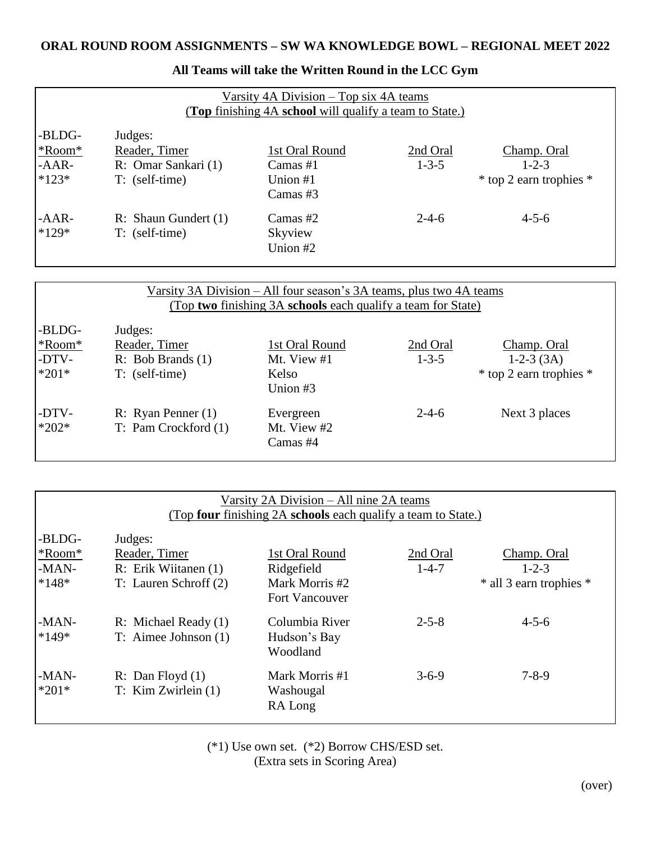| Varsity 4A Division – Top six 4A teams<br>(Top finishing 4A school will qualify a team to State.) |                                                                     |                                                          |                         |                                                       |  |
|---------------------------------------------------------------------------------------------------|---------------------------------------------------------------------|----------------------------------------------------------|-------------------------|-------------------------------------------------------|--|
| -BLDG-<br>*Room*<br>$-AAR-$<br>$*123*$                                                            | Judges:<br>Reader, Timer<br>R: Omar Sankari (1)<br>$T:$ (self-time) | 1st Oral Round<br>Camas $#1$<br>Union $#1$<br>Camas $#3$ | 2nd Oral<br>$1 - 3 - 5$ | Champ. Oral<br>$1 - 2 - 3$<br>* top 2 earn trophies * |  |
| $-AAR$ -<br>$*129*$                                                                               | R: Shaun Gundert (1)<br>$T:$ (self-time)                            | Camas $#2$<br>Skyview<br>Union #2                        | $2 - 4 - 6$             | $4 - 5 - 6$                                           |  |

## **All Teams will take the Written Round in the LCC Gym**

| Varsity 3A Division – All four season's 3A teams, plus two 4A teams<br>(Top two finishing 3A schools each qualify a team for State) |                                                                   |                                                    |                         |                                                       |
|-------------------------------------------------------------------------------------------------------------------------------------|-------------------------------------------------------------------|----------------------------------------------------|-------------------------|-------------------------------------------------------|
| -BLDG-<br>*Room*<br>-DTV-<br>$*201*$                                                                                                | Judges:<br>Reader, Timer<br>R: Bob Brands (1)<br>$T:$ (self-time) | 1st Oral Round<br>Mt. View #1<br>Kelso<br>Union #3 | 2nd Oral<br>$1 - 3 - 5$ | Champ. Oral<br>$1-2-3(3A)$<br>* top 2 earn trophies * |
| -DTV-<br>$*202*$                                                                                                                    | R: Ryan Penner $(1)$<br>T: Pam Crockford (1)                      | Evergreen<br>Mt. View #2<br>Camas #4               | $2 - 4 - 6$             | Next 3 places                                         |

| Varsity 2A Division – All nine 2A teams<br>(Top four finishing 2A schools each qualify a team to State.) |                                                                           |                                                                  |                         |                                                              |  |
|----------------------------------------------------------------------------------------------------------|---------------------------------------------------------------------------|------------------------------------------------------------------|-------------------------|--------------------------------------------------------------|--|
| -BLDG-<br>*Room*<br>$-MAN-$<br>$*148*$                                                                   | Judges:<br>Reader, Timer<br>R: Erik Wiitanen (1)<br>T: Lauren Schroff (2) | 1st Oral Round<br>Ridgefield<br>Mark Morris #2<br>Fort Vancouver | 2nd Oral<br>$1 - 4 - 7$ | <b>Champ. Oral</b><br>$1 - 2 - 3$<br>* all 3 earn trophies * |  |
| $-MAN-$<br>$*149*$                                                                                       | R: Michael Ready (1)<br>$T:$ Aimee Johnson $(1)$                          | Columbia River<br>Hudson's Bay<br>Woodland                       | $2 - 5 - 8$             | $4 - 5 - 6$                                                  |  |
| $-MAN-$<br>$*201*$                                                                                       | R: Dan Floyd $(1)$<br>$T:$ Kim Zwirlein $(1)$                             | Mark Morris #1<br>Washougal<br>RA Long                           | $3 - 6 - 9$             | $7 - 8 - 9$                                                  |  |

(\*1) Use own set. (\*2) Borrow CHS/ESD set. (Extra sets in Scoring Area)